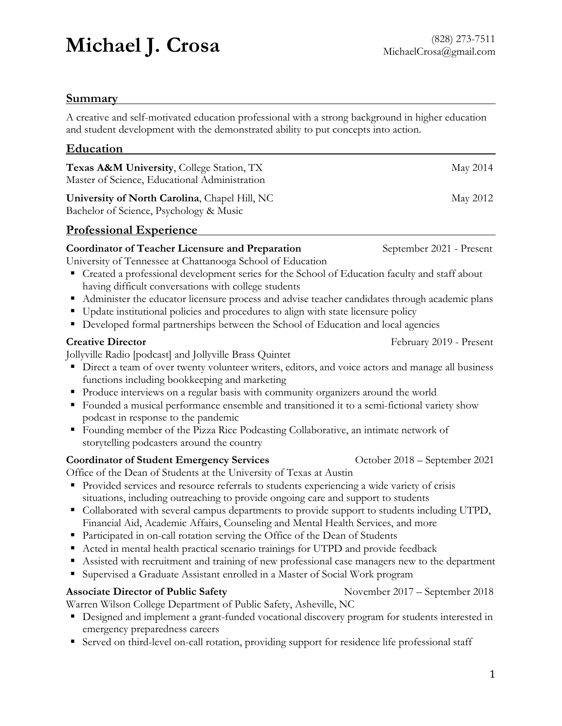# **Michael J. Crosa** (828) 273-7511 MichaelCrosa (828) 273-7511

#### **Summary**

A creative and self-motivated education professional with a strong background in higher education and student development with the demonstrated ability to put concepts into action.

| Education                                                                                                                                                                                                                                                                                                                                                                                                                                                                                                                                                                                                                                                                                                                                                                                                                                              |                                |
|--------------------------------------------------------------------------------------------------------------------------------------------------------------------------------------------------------------------------------------------------------------------------------------------------------------------------------------------------------------------------------------------------------------------------------------------------------------------------------------------------------------------------------------------------------------------------------------------------------------------------------------------------------------------------------------------------------------------------------------------------------------------------------------------------------------------------------------------------------|--------------------------------|
| Texas A&M University, College Station, TX<br>Master of Science, Educational Administration                                                                                                                                                                                                                                                                                                                                                                                                                                                                                                                                                                                                                                                                                                                                                             | May 2014                       |
| University of North Carolina, Chapel Hill, NC<br>Bachelor of Science, Psychology & Music                                                                                                                                                                                                                                                                                                                                                                                                                                                                                                                                                                                                                                                                                                                                                               | May 2012                       |
| <b>Professional Experience</b>                                                                                                                                                                                                                                                                                                                                                                                                                                                                                                                                                                                                                                                                                                                                                                                                                         |                                |
| <b>Coordinator of Teacher Licensure and Preparation</b><br>University of Tennessee at Chattanooga School of Education<br>• Created a professional development series for the School of Education faculty and staff about<br>having difficult conversations with college students<br>Administer the educator licensure process and advise teacher candidates through academic plans<br>п<br>Update institutional policies and procedures to align with state licensure policy<br>Developed formal partnerships between the School of Education and local agencies                                                                                                                                                                                                                                                                                       | September 2021 - Present       |
| <b>Creative Director</b>                                                                                                                                                                                                                                                                                                                                                                                                                                                                                                                                                                                                                                                                                                                                                                                                                               | February 2019 - Present        |
| Jollyville Radio [podcast] and Jollyville Brass Quintet<br>• Direct a team of over twenty volunteer writers, editors, and voice actors and manage all business<br>functions including bookkeeping and marketing<br>Produce interviews on a regular basis with community organizers around the world<br>ш<br>Founded a musical performance ensemble and transitioned it to a semi-fictional variety show<br>podcast in response to the pandemic<br>Founding member of the Pizza Rice Podcasting Collaborative, an intimate network of<br>٠<br>storytelling podcasters around the country                                                                                                                                                                                                                                                                |                                |
| <b>Coordinator of Student Emergency Services</b><br>Office of the Dean of Students at the University of Texas at Austin<br>Provided services and resource referrals to students experiencing a wide variety of crisis<br>situations, including outreaching to provide ongoing care and support to students<br>• Collaborated with several campus departments to provide support to students including UTPD,<br>Financial Aid, Academic Affairs, Counseling and Mental Health Services, and more<br>• Participated in on-call rotation serving the Office of the Dean of Students<br>Acted in mental health practical scenario trainings for UTPD and provide feedback<br>Assisted with recruitment and training of new professional case managers new to the department<br>Supervised a Graduate Assistant enrolled in a Master of Social Work program | October 2018 - September 2021  |
| <b>Associate Director of Public Safety</b><br>Warren Wilson College Department of Public Safety, Asheville, NC<br>Designed and implement a grant-funded vocational discovery program for students interested in<br>emergency preparedness careers<br>Served on third-level on-call rotation, providing support for residence life professional staff                                                                                                                                                                                                                                                                                                                                                                                                                                                                                                   | November 2017 – September 2018 |